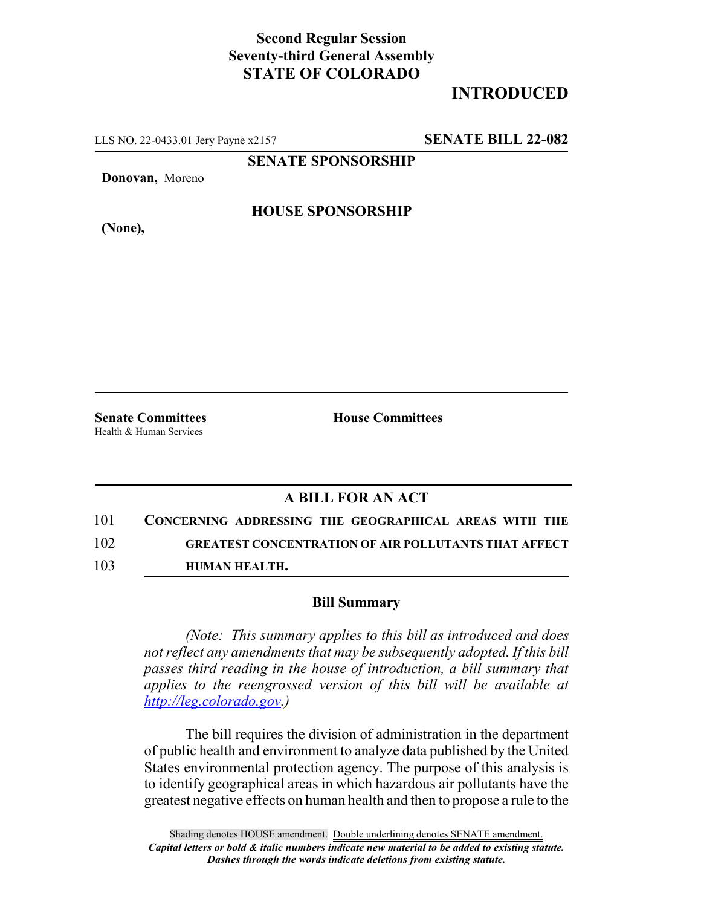## **Second Regular Session Seventy-third General Assembly STATE OF COLORADO**

# **INTRODUCED**

LLS NO. 22-0433.01 Jery Payne x2157 **SENATE BILL 22-082**

**SENATE SPONSORSHIP**

**Donovan,** Moreno

#### **HOUSE SPONSORSHIP**

**(None),**

Health & Human Services

**Senate Committees House Committees** 

### **A BILL FOR AN ACT**

- 101 **CONCERNING ADDRESSING THE GEOGRAPHICAL AREAS WITH THE** 102 **GREATEST CONCENTRATION OF AIR POLLUTANTS THAT AFFECT**
- 103 **HUMAN HEALTH.**

#### **Bill Summary**

*(Note: This summary applies to this bill as introduced and does not reflect any amendments that may be subsequently adopted. If this bill passes third reading in the house of introduction, a bill summary that applies to the reengrossed version of this bill will be available at http://leg.colorado.gov.)*

The bill requires the division of administration in the department of public health and environment to analyze data published by the United States environmental protection agency. The purpose of this analysis is to identify geographical areas in which hazardous air pollutants have the greatest negative effects on human health and then to propose a rule to the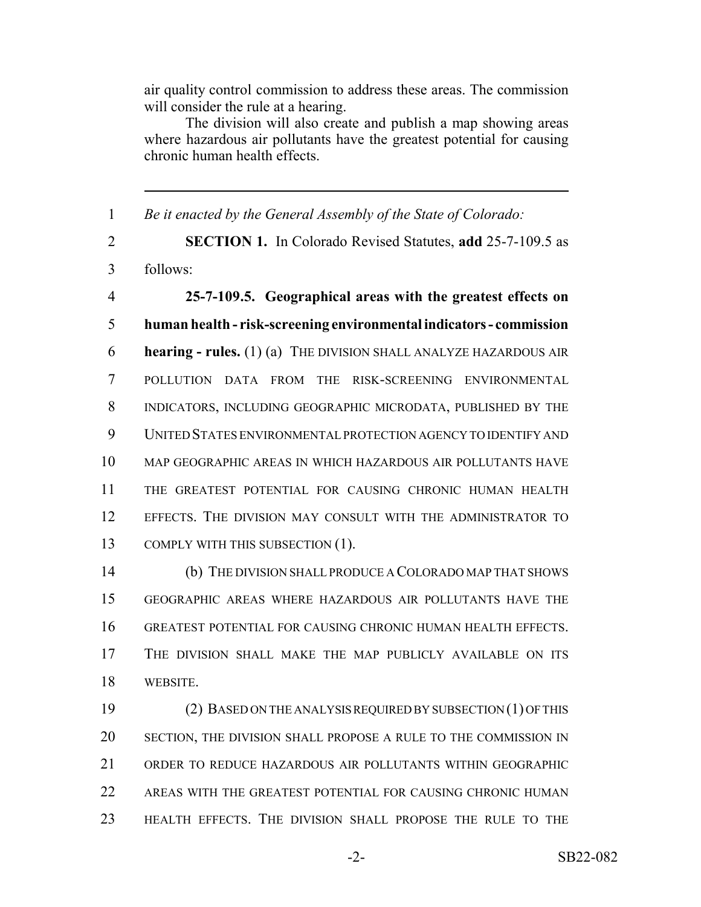air quality control commission to address these areas. The commission will consider the rule at a hearing.

The division will also create and publish a map showing areas where hazardous air pollutants have the greatest potential for causing chronic human health effects.

 *Be it enacted by the General Assembly of the State of Colorado:* **SECTION 1.** In Colorado Revised Statutes, **add** 25-7-109.5 as follows: **25-7-109.5. Geographical areas with the greatest effects on human health - risk-screening environmental indicators - commission hearing - rules.** (1) (a) THE DIVISION SHALL ANALYZE HAZARDOUS AIR POLLUTION DATA FROM THE RISK-SCREENING ENVIRONMENTAL INDICATORS, INCLUDING GEOGRAPHIC MICRODATA, PUBLISHED BY THE UNITED STATES ENVIRONMENTAL PROTECTION AGENCY TO IDENTIFY AND MAP GEOGRAPHIC AREAS IN WHICH HAZARDOUS AIR POLLUTANTS HAVE THE GREATEST POTENTIAL FOR CAUSING CHRONIC HUMAN HEALTH EFFECTS. THE DIVISION MAY CONSULT WITH THE ADMINISTRATOR TO 13 COMPLY WITH THIS SUBSECTION (1). (b) THE DIVISION SHALL PRODUCE A COLORADO MAP THAT SHOWS GEOGRAPHIC AREAS WHERE HAZARDOUS AIR POLLUTANTS HAVE THE GREATEST POTENTIAL FOR CAUSING CHRONIC HUMAN HEALTH EFFECTS. THE DIVISION SHALL MAKE THE MAP PUBLICLY AVAILABLE ON ITS WEBSITE. (2) BASED ON THE ANALYSIS REQUIRED BY SUBSECTION (1) OF THIS SECTION, THE DIVISION SHALL PROPOSE A RULE TO THE COMMISSION IN ORDER TO REDUCE HAZARDOUS AIR POLLUTANTS WITHIN GEOGRAPHIC AREAS WITH THE GREATEST POTENTIAL FOR CAUSING CHRONIC HUMAN

HEALTH EFFECTS. THE DIVISION SHALL PROPOSE THE RULE TO THE